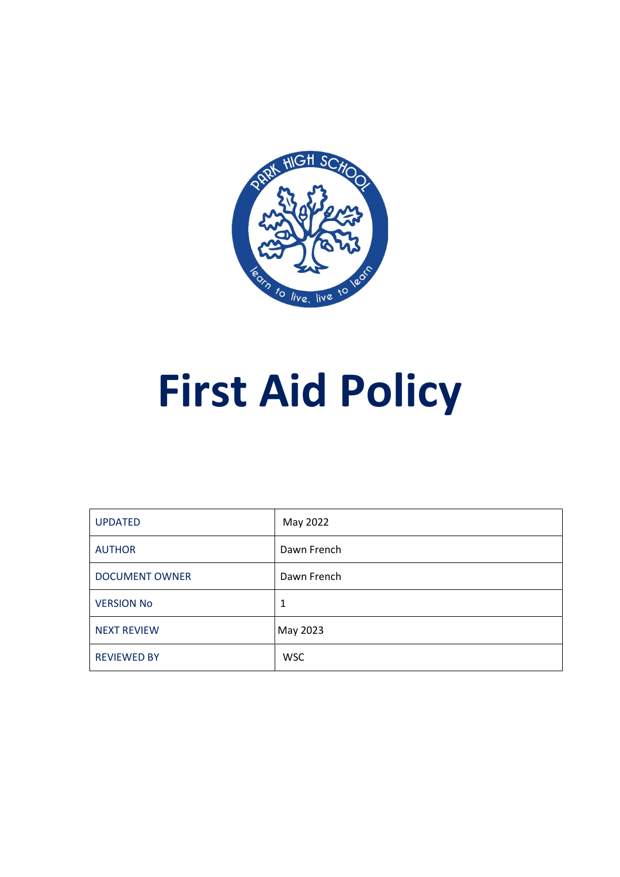

# First Aid Policy

| <b>UPDATED</b>        | May 2022    |
|-----------------------|-------------|
| <b>AUTHOR</b>         | Dawn French |
| <b>DOCUMENT OWNER</b> | Dawn French |
| <b>VERSION No</b>     | 1           |
| <b>NEXT REVIEW</b>    | May 2023    |
| <b>REVIEWED BY</b>    | <b>WSC</b>  |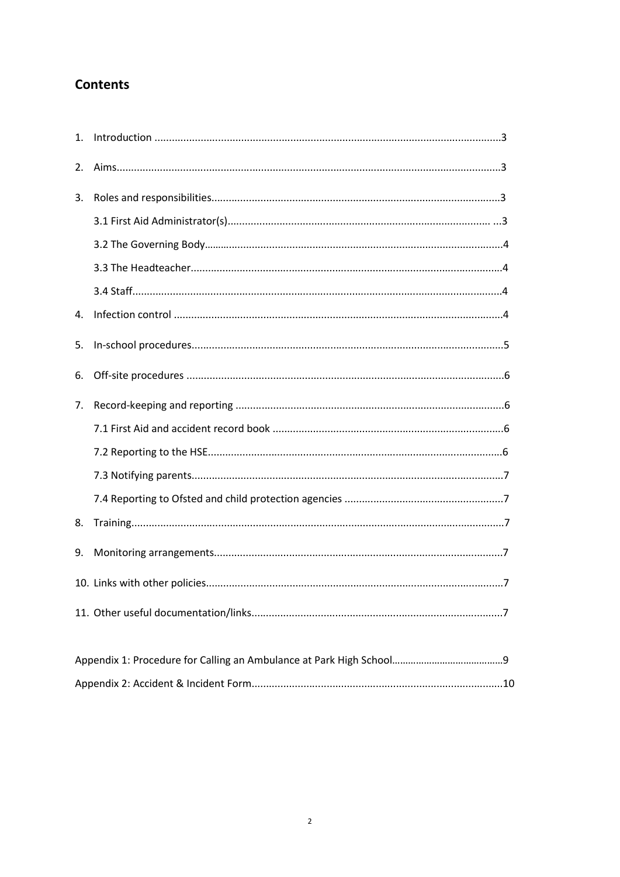## **Contents**

| $\mathbf{1}$ . |  |
|----------------|--|
| 2.             |  |
| 3.             |  |
|                |  |
|                |  |
|                |  |
|                |  |
| 4.             |  |
| 5.             |  |
| 6.             |  |
| 7.             |  |
|                |  |
|                |  |
|                |  |
|                |  |
| 8.             |  |
| 9.             |  |
|                |  |
|                |  |
|                |  |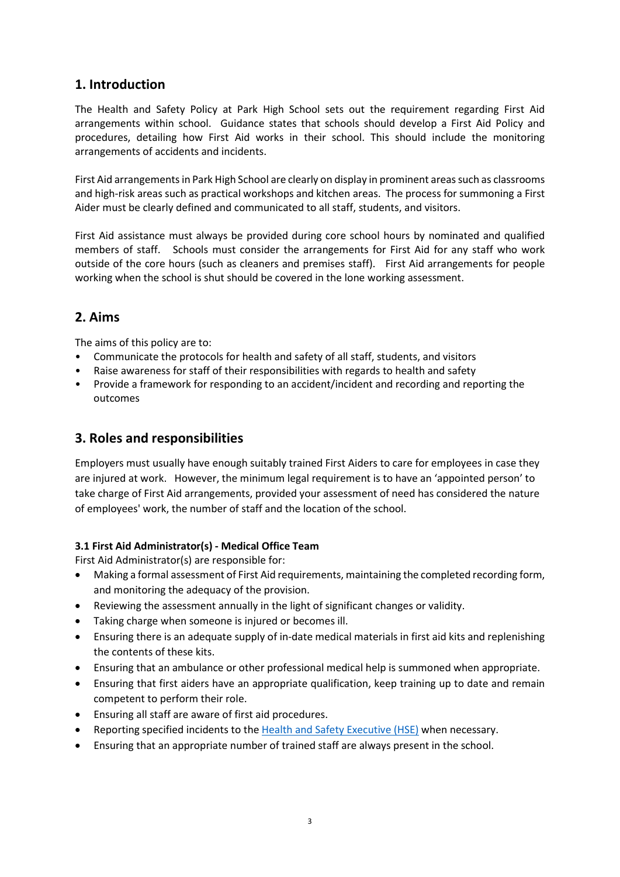### 1. Introduction

The Health and Safety Policy at Park High School sets out the requirement regarding First Aid arrangements within school. Guidance states that schools should develop a First Aid Policy and procedures, detailing how First Aid works in their school. This should include the monitoring arrangements of accidents and incidents.

First Aid arrangements in Park High School are clearly on display in prominent areas such as classrooms and high-risk areas such as practical workshops and kitchen areas. The process for summoning a First Aider must be clearly defined and communicated to all staff, students, and visitors.

First Aid assistance must always be provided during core school hours by nominated and qualified members of staff. Schools must consider the arrangements for First Aid for any staff who work outside of the core hours (such as cleaners and premises staff). First Aid arrangements for people working when the school is shut should be covered in the lone working assessment.

## 2. Aims

The aims of this policy are to:

- Communicate the protocols for health and safety of all staff, students, and visitors
- Raise awareness for staff of their responsibilities with regards to health and safety
- Provide a framework for responding to an accident/incident and recording and reporting the outcomes

## 3. Roles and responsibilities

Employers must usually have enough suitably trained First Aiders to care for employees in case they are injured at work. However, the minimum legal requirement is to have an 'appointed person' to take charge of First Aid arrangements, provided your assessment of need has considered the nature of employees' work, the number of staff and the location of the school.

#### 3.1 First Aid Administrator(s) - Medical Office Team

First Aid Administrator(s) are responsible for:

- Making a formal assessment of First Aid requirements, maintaining the completed recording form, and monitoring the adequacy of the provision.
- Reviewing the assessment annually in the light of significant changes or validity.
- Taking charge when someone is injured or becomes ill.
- Ensuring there is an adequate supply of in-date medical materials in first aid kits and replenishing the contents of these kits.
- Ensuring that an ambulance or other professional medical help is summoned when appropriate.
- Ensuring that first aiders have an appropriate qualification, keep training up to date and remain competent to perform their role.
- Ensuring all staff are aware of first aid procedures.
- Reporting specified incidents to the Health and Safety Executive (HSE) when necessary.
- Ensuring that an appropriate number of trained staff are always present in the school.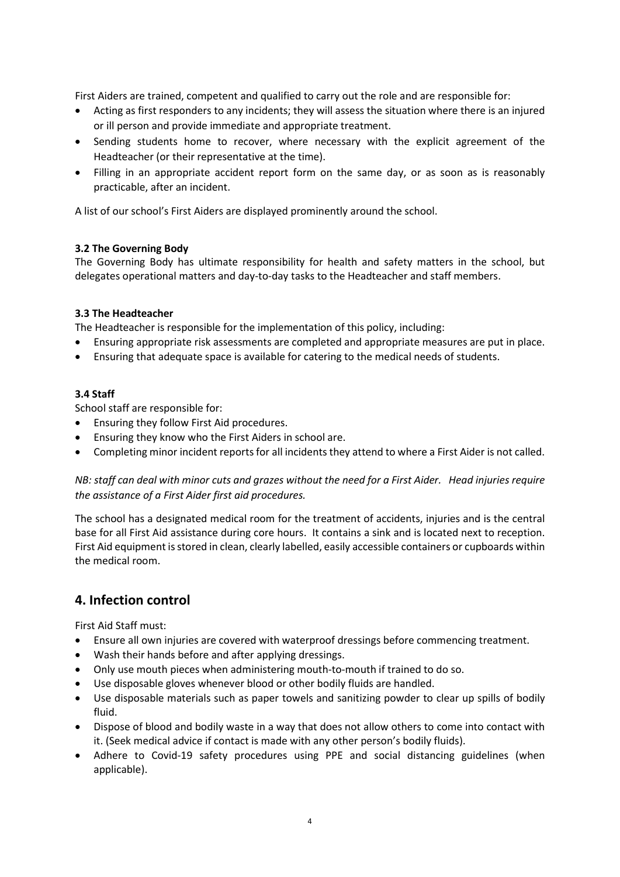First Aiders are trained, competent and qualified to carry out the role and are responsible for:

- Acting as first responders to any incidents; they will assess the situation where there is an injured or ill person and provide immediate and appropriate treatment.
- Sending students home to recover, where necessary with the explicit agreement of the Headteacher (or their representative at the time).
- Filling in an appropriate accident report form on the same day, or as soon as is reasonably practicable, after an incident.

A list of our school's First Aiders are displayed prominently around the school.

#### 3.2 The Governing Body

The Governing Body has ultimate responsibility for health and safety matters in the school, but delegates operational matters and day-to-day tasks to the Headteacher and staff members.

#### 3.3 The Headteacher

The Headteacher is responsible for the implementation of this policy, including:

- Ensuring appropriate risk assessments are completed and appropriate measures are put in place.
- Ensuring that adequate space is available for catering to the medical needs of students.

#### 3.4 Staff

School staff are responsible for:

- Ensuring they follow First Aid procedures.
- Ensuring they know who the First Aiders in school are.
- Completing minor incident reports for all incidents they attend to where a First Aider is not called.

NB: staff can deal with minor cuts and grazes without the need for a First Aider. Head injuries require the assistance of a First Aider first aid procedures.

The school has a designated medical room for the treatment of accidents, injuries and is the central base for all First Aid assistance during core hours. It contains a sink and is located next to reception. First Aid equipment is stored in clean, clearly labelled, easily accessible containers or cupboards within the medical room.

#### 4. Infection control

First Aid Staff must:

- Ensure all own injuries are covered with waterproof dressings before commencing treatment.
- Wash their hands before and after applying dressings.
- Only use mouth pieces when administering mouth-to-mouth if trained to do so.
- Use disposable gloves whenever blood or other bodily fluids are handled.
- Use disposable materials such as paper towels and sanitizing powder to clear up spills of bodily fluid.
- Dispose of blood and bodily waste in a way that does not allow others to come into contact with it. (Seek medical advice if contact is made with any other person's bodily fluids).
- Adhere to Covid-19 safety procedures using PPE and social distancing guidelines (when applicable).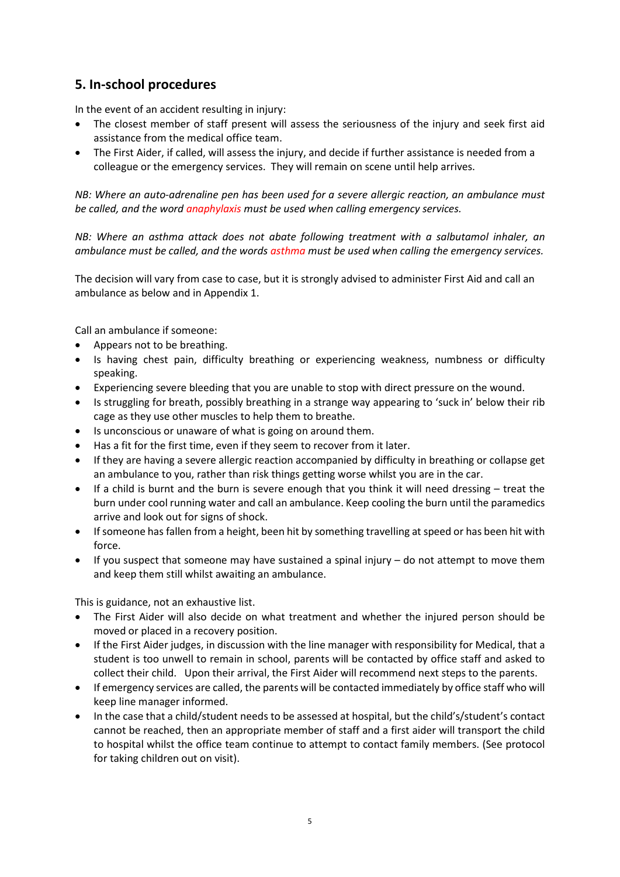## 5. In-school procedures

In the event of an accident resulting in injury:

- The closest member of staff present will assess the seriousness of the injury and seek first aid assistance from the medical office team.
- The First Aider, if called, will assess the injury, and decide if further assistance is needed from a colleague or the emergency services. They will remain on scene until help arrives.

NB: Where an auto-adrenaline pen has been used for a severe allergic reaction, an ambulance must be called, and the word anaphylaxis must be used when calling emergency services.

NB: Where an asthma attack does not abate following treatment with a salbutamol inhaler, an ambulance must be called, and the words asthma must be used when calling the emergency services.

The decision will vary from case to case, but it is strongly advised to administer First Aid and call an ambulance as below and in Appendix 1.

Call an ambulance if someone:

- Appears not to be breathing.
- Is having chest pain, difficulty breathing or experiencing weakness, numbness or difficulty speaking.
- Experiencing severe bleeding that you are unable to stop with direct pressure on the wound.
- Is struggling for breath, possibly breathing in a strange way appearing to 'suck in' below their rib cage as they use other muscles to help them to breathe.
- Is unconscious or unaware of what is going on around them.
- Has a fit for the first time, even if they seem to recover from it later.
- If they are having a severe allergic reaction accompanied by difficulty in breathing or collapse get an ambulance to you, rather than risk things getting worse whilst you are in the car.
- If a child is burnt and the burn is severe enough that you think it will need dressing treat the burn under cool running water and call an ambulance. Keep cooling the burn until the paramedics arrive and look out for signs of shock.
- If someone has fallen from a height, been hit by something travelling at speed or has been hit with force.
- $\bullet$  If you suspect that someone may have sustained a spinal injury do not attempt to move them and keep them still whilst awaiting an ambulance.

This is guidance, not an exhaustive list.

- The First Aider will also decide on what treatment and whether the injured person should be moved or placed in a recovery position.
- If the First Aider judges, in discussion with the line manager with responsibility for Medical, that a student is too unwell to remain in school, parents will be contacted by office staff and asked to collect their child. Upon their arrival, the First Aider will recommend next steps to the parents.
- If emergency services are called, the parents will be contacted immediately by office staff who will keep line manager informed.
- In the case that a child/student needs to be assessed at hospital, but the child's/student's contact cannot be reached, then an appropriate member of staff and a first aider will transport the child to hospital whilst the office team continue to attempt to contact family members. (See protocol for taking children out on visit).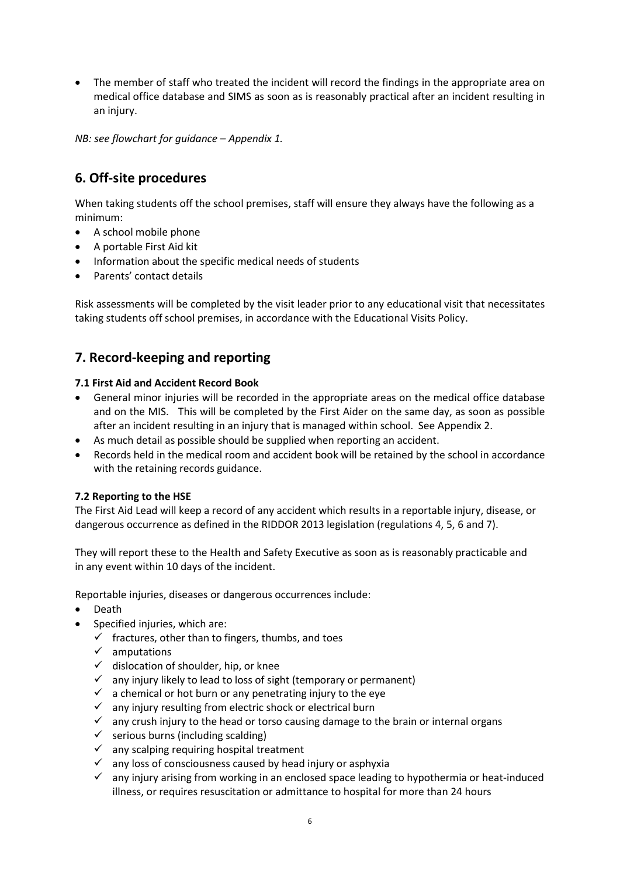The member of staff who treated the incident will record the findings in the appropriate area on medical office database and SIMS as soon as is reasonably practical after an incident resulting in an injury.

NB: see flowchart for guidance – Appendix 1.

## 6. Off-site procedures

When taking students off the school premises, staff will ensure they always have the following as a minimum:

- A school mobile phone
- A portable First Aid kit
- Information about the specific medical needs of students
- Parents' contact details

Risk assessments will be completed by the visit leader prior to any educational visit that necessitates taking students off school premises, in accordance with the Educational Visits Policy.

#### 7. Record-keeping and reporting

#### 7.1 First Aid and Accident Record Book

- General minor injuries will be recorded in the appropriate areas on the medical office database and on the MIS. This will be completed by the First Aider on the same day, as soon as possible after an incident resulting in an injury that is managed within school. See Appendix 2.
- As much detail as possible should be supplied when reporting an accident.
- Records held in the medical room and accident book will be retained by the school in accordance with the retaining records guidance.

#### 7.2 Reporting to the HSE

The First Aid Lead will keep a record of any accident which results in a reportable injury, disease, or dangerous occurrence as defined in the RIDDOR 2013 legislation (regulations 4, 5, 6 and 7).

They will report these to the Health and Safety Executive as soon as is reasonably practicable and in any event within 10 days of the incident.

Reportable injuries, diseases or dangerous occurrences include:

- Death
- Specified injuries, which are:
	- $\checkmark$  fractures, other than to fingers, thumbs, and toes
	- $\checkmark$  amputations
	- $\checkmark$  dislocation of shoulder, hip, or knee
	- $\checkmark$  any injury likely to lead to loss of sight (temporary or permanent)
	- $\checkmark$  a chemical or hot burn or any penetrating injury to the eye
	- $\checkmark$  any injury resulting from electric shock or electrical burn
	- $\checkmark$  any crush injury to the head or torso causing damage to the brain or internal organs
	- $\checkmark$  serious burns (including scalding)
	- $\checkmark$  any scalping requiring hospital treatment
	- $\checkmark$  any loss of consciousness caused by head injury or asphyxia
	- $\checkmark$  any injury arising from working in an enclosed space leading to hypothermia or heat-induced illness, or requires resuscitation or admittance to hospital for more than 24 hours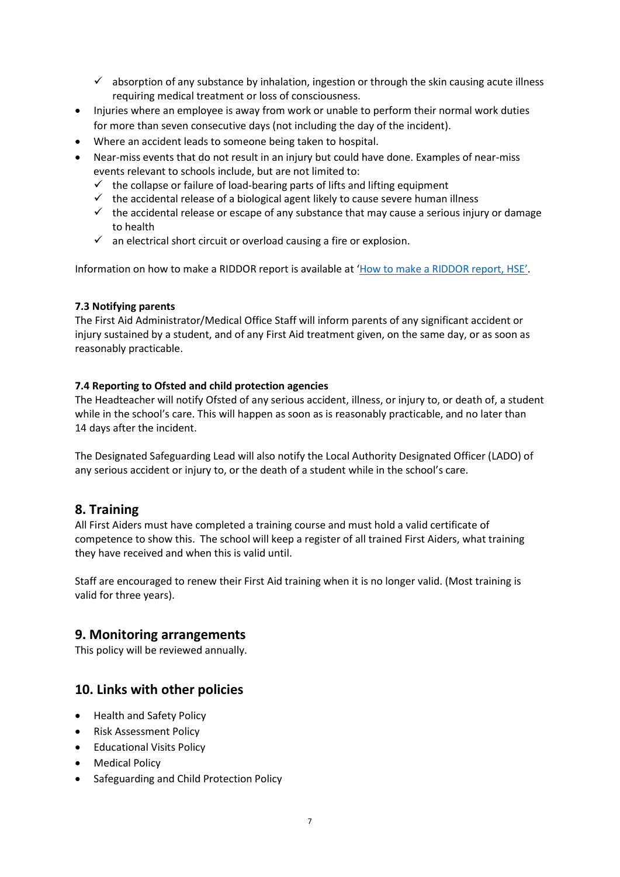- $\checkmark$  absorption of any substance by inhalation, ingestion or through the skin causing acute illness requiring medical treatment or loss of consciousness.
- Injuries where an employee is away from work or unable to perform their normal work duties for more than seven consecutive days (not including the day of the incident).
- Where an accident leads to someone being taken to hospital.
- Near-miss events that do not result in an injury but could have done. Examples of near-miss events relevant to schools include, but are not limited to:
	- $\checkmark$  the collapse or failure of load-bearing parts of lifts and lifting equipment
	- $\checkmark$  the accidental release of a biological agent likely to cause severe human illness
	- $\checkmark$  the accidental release or escape of any substance that may cause a serious injury or damage to health
	- $\checkmark$  an electrical short circuit or overload causing a fire or explosion.

Information on how to make a RIDDOR report is available at 'How to make a RIDDOR report, HSE'.

#### 7.3 Notifying parents

The First Aid Administrator/Medical Office Staff will inform parents of any significant accident or injury sustained by a student, and of any First Aid treatment given, on the same day, or as soon as reasonably practicable.

#### 7.4 Reporting to Ofsted and child protection agencies

The Headteacher will notify Ofsted of any serious accident, illness, or injury to, or death of, a student while in the school's care. This will happen as soon as is reasonably practicable, and no later than 14 days after the incident.

The Designated Safeguarding Lead will also notify the Local Authority Designated Officer (LADO) of any serious accident or injury to, or the death of a student while in the school's care.

#### 8. Training

All First Aiders must have completed a training course and must hold a valid certificate of competence to show this. The school will keep a register of all trained First Aiders, what training they have received and when this is valid until.

Staff are encouraged to renew their First Aid training when it is no longer valid. (Most training is valid for three years).

#### 9. Monitoring arrangements

This policy will be reviewed annually.

#### 10. Links with other policies

- Health and Safety Policy
- Risk Assessment Policy
- **•** Educational Visits Policy
- Medical Policy
- Safeguarding and Child Protection Policy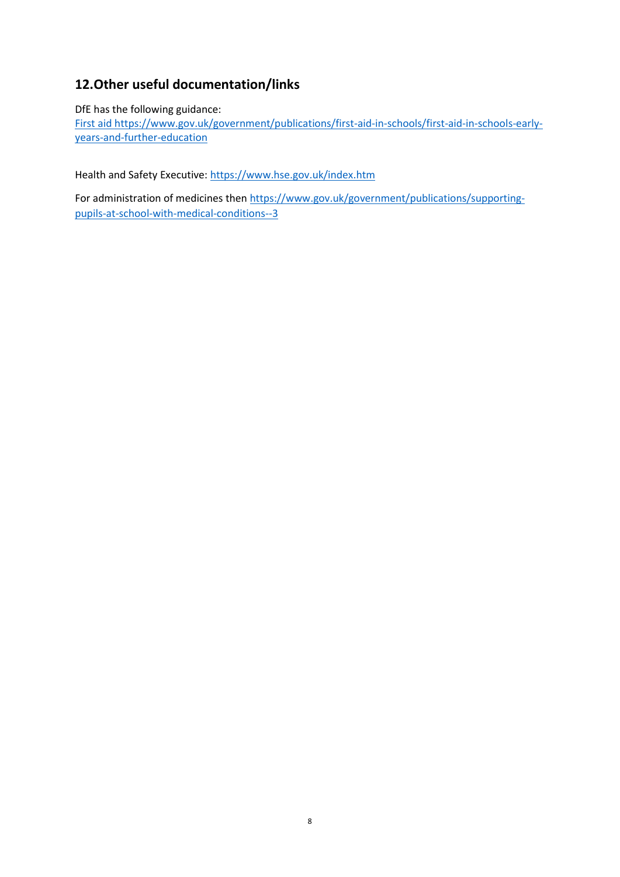## 12.Other useful documentation/links

DfE has the following guidance:

First aid https://www.gov.uk/government/publications/first-aid-in-schools/first-aid-in-schools-earlyyears-and-further-education

Health and Safety Executive: https://www.hse.gov.uk/index.htm

For administration of medicines then https://www.gov.uk/government/publications/supportingpupils-at-school-with-medical-conditions--3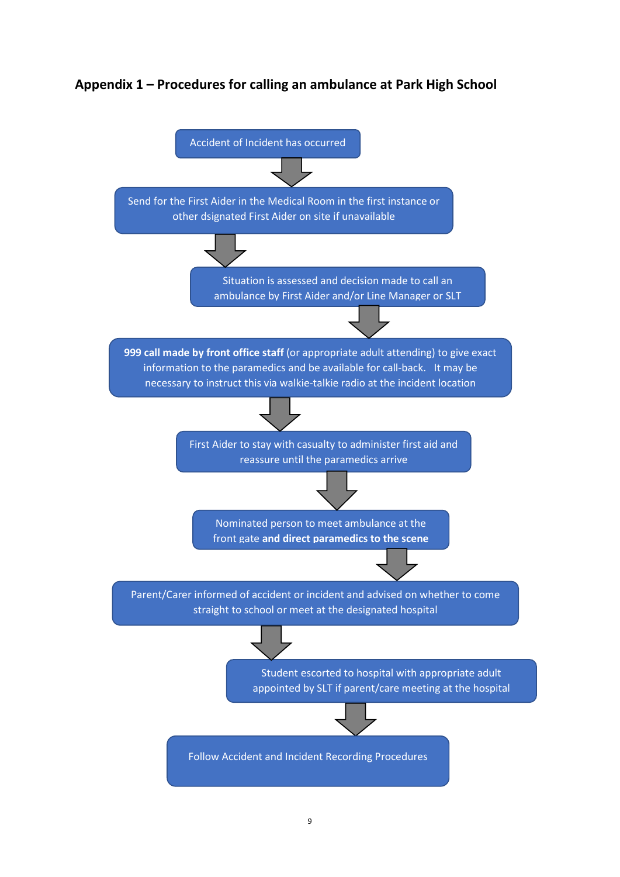## Appendix 1 – Procedures for calling an ambulance at Park High School

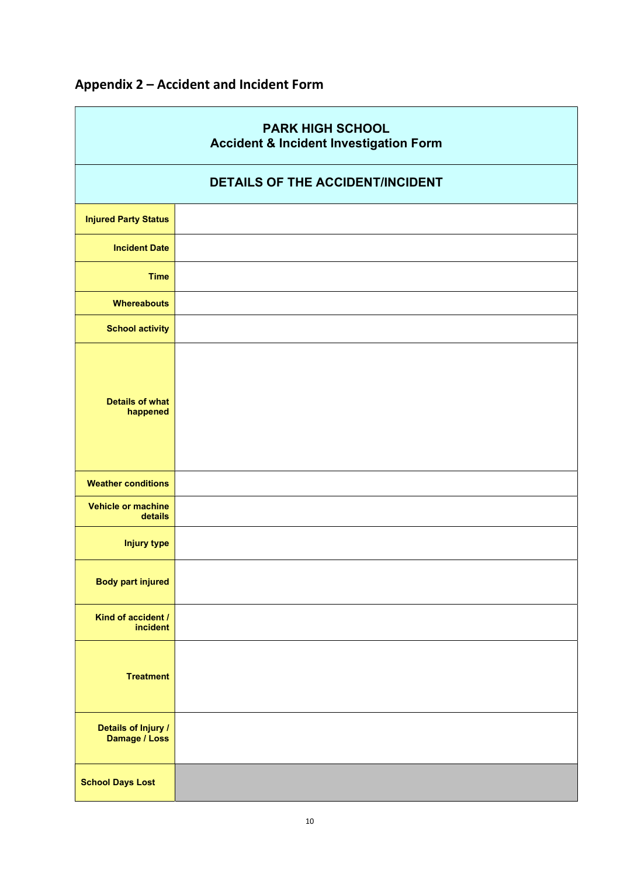| <b>PARK HIGH SCHOOL</b><br><b>Accident &amp; Incident Investigation Form</b> |  |
|------------------------------------------------------------------------------|--|
| <b>DETAILS OF THE ACCIDENT/INCIDENT</b>                                      |  |
| <b>Injured Party Status</b>                                                  |  |
| <b>Incident Date</b>                                                         |  |
| <b>Time</b>                                                                  |  |
| <b>Whereabouts</b>                                                           |  |
| <b>School activity</b>                                                       |  |
| <b>Details of what</b><br>happened                                           |  |
| <b>Weather conditions</b>                                                    |  |
| <b>Vehicle or machine</b><br>details                                         |  |
| <b>Injury type</b>                                                           |  |
| <b>Body part injured</b>                                                     |  |
| Kind of accident /<br>incident                                               |  |
| <b>Treatment</b>                                                             |  |
| Details of Injury /<br>Damage / Loss                                         |  |
| <b>School Days Lost</b>                                                      |  |

## Appendix 2 – Accident and Incident Form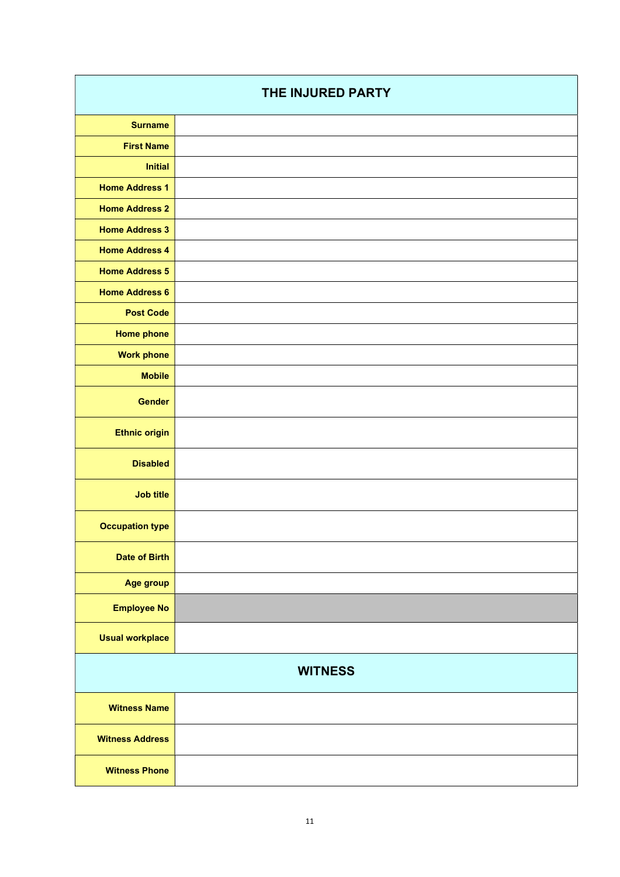| THE INJURED PARTY      |  |
|------------------------|--|
| <b>Surname</b>         |  |
| <b>First Name</b>      |  |
| <b>Initial</b>         |  |
| <b>Home Address 1</b>  |  |
| <b>Home Address 2</b>  |  |
| <b>Home Address 3</b>  |  |
| <b>Home Address 4</b>  |  |
| <b>Home Address 5</b>  |  |
| <b>Home Address 6</b>  |  |
| <b>Post Code</b>       |  |
| <b>Home phone</b>      |  |
| <b>Work phone</b>      |  |
| <b>Mobile</b>          |  |
| <b>Gender</b>          |  |
| <b>Ethnic origin</b>   |  |
| <b>Disabled</b>        |  |
| <b>Job title</b>       |  |
| <b>Occupation type</b> |  |
| <b>Date of Birth</b>   |  |
| Age group              |  |
| <b>Employee No</b>     |  |
| <b>Usual workplace</b> |  |
| <b>WITNESS</b>         |  |
| <b>Witness Name</b>    |  |
| <b>Witness Address</b> |  |
| <b>Witness Phone</b>   |  |